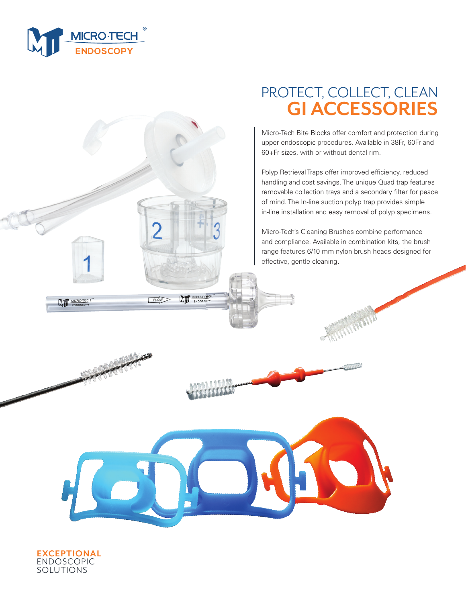

# PROTECT, COLLECT, CLEAN **GI ACCESSORIES**

Micro-Tech Bite Blocks offer comfort and protection during upper endoscopic procedures. Available in 38Fr, 60Fr and 60+Fr sizes, with or without dental rim.

Polyp Retrieval Traps offer improved efficiency, reduced handling and cost savings. The unique Quad trap features removable collection trays and a secondary filter for peace of mind. The In-line suction polyp trap provides simple in-line installation and easy removal of polyp specimens.

Micro-Tech's Cleaning Brushes combine performance and compliance. Available in combination kits, the brush range features 6/10 mm nylon brush heads designed for effective, gentle cleaning.



MT.

 $FLOW$ 



MICRO-TECH